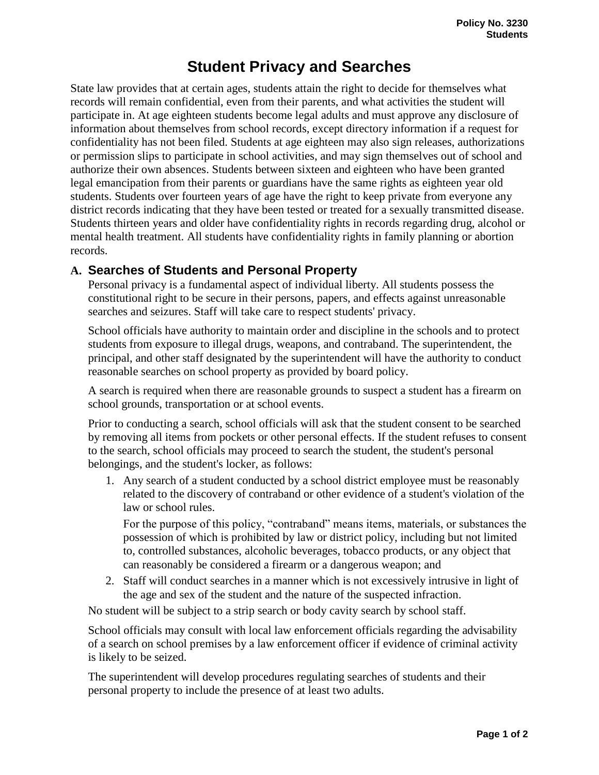## **Student Privacy and Searches**

State law provides that at certain ages, students attain the right to decide for themselves what records will remain confidential, even from their parents, and what activities the student will participate in. At age eighteen students become legal adults and must approve any disclosure of information about themselves from school records, except directory information if a request for confidentiality has not been filed. Students at age eighteen may also sign releases, authorizations or permission slips to participate in school activities, and may sign themselves out of school and authorize their own absences. Students between sixteen and eighteen who have been granted legal emancipation from their parents or guardians have the same rights as eighteen year old students. Students over fourteen years of age have the right to keep private from everyone any district records indicating that they have been tested or treated for a sexually transmitted disease. Students thirteen years and older have confidentiality rights in records regarding drug, alcohol or mental health treatment. All students have confidentiality rights in family planning or abortion records.

## **A. Searches of Students and Personal Property**

Personal privacy is a fundamental aspect of individual liberty. All students possess the constitutional right to be secure in their persons, papers, and effects against unreasonable searches and seizures. Staff will take care to respect students' privacy.

School officials have authority to maintain order and discipline in the schools and to protect students from exposure to illegal drugs, weapons, and contraband. The superintendent, the principal, and other staff designated by the superintendent will have the authority to conduct reasonable searches on school property as provided by board policy.

A search is required when there are reasonable grounds to suspect a student has a firearm on school grounds, transportation or at school events.

Prior to conducting a search, school officials will ask that the student consent to be searched by removing all items from pockets or other personal effects. If the student refuses to consent to the search, school officials may proceed to search the student, the student's personal belongings, and the student's locker, as follows:

1. Any search of a student conducted by a school district employee must be reasonably related to the discovery of contraband or other evidence of a student's violation of the law or school rules.

For the purpose of this policy, "contraband" means items, materials, or substances the possession of which is prohibited by law or district policy, including but not limited to, controlled substances, alcoholic beverages, tobacco products, or any object that can reasonably be considered a firearm or a dangerous weapon; and

2. Staff will conduct searches in a manner which is not excessively intrusive in light of the age and sex of the student and the nature of the suspected infraction.

No student will be subject to a strip search or body cavity search by school staff.

School officials may consult with local law enforcement officials regarding the advisability of a search on school premises by a law enforcement officer if evidence of criminal activity is likely to be seized.

The superintendent will develop procedures regulating searches of students and their personal property to include the presence of at least two adults.